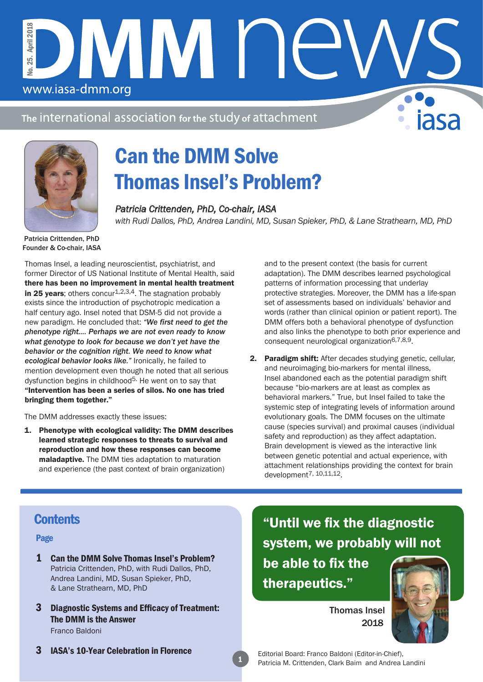The international association for the study of attachment

DMM NE



www.iasa-dmm.org

No. 25. April 2018

 $25.1$ Š.

**April 2018** 

# Can the DMM Solve Thomas Insel's Problem?

*Patricia Crittenden, PhD, Co-chair, IASA with Rudi Dallos, PhD, Andrea Landini, MD, Susan Spieker, PhD, & Lane Strathearn, MD, PhD*

Patricia Crittenden, PhD Founder & Co-chair, IASA

Thomas Insel, a leading neuroscientist, psychiatrist, and former Director of US National Institute of Mental Health, said there has been no improvement in mental health treatment in 25 years; others concur<sup>1,2,3,4</sup>. The stagnation probably exists since the introduction of psychotropic medication a half century ago. Insel noted that DSM-5 did not provide a new paradigm. He concluded that: *"We first need to get the phenotype right.… Perhaps we are not even ready to know what genotype to look for because we don't yet have the behavior or the cognition right. We need to know what ecological behavior looks like."* Ironically, he failed to mention development even though he noted that all serious dysfunction begins in childhood<sup>5.</sup> He went on to say that "Intervention has been a series of silos. No one has tried bringing them together."

The DMM addresses exactly these issues:

1. Phenotype with ecological validity: The DMM describes learned strategic responses to threats to survival and reproduction and how these responses can become maladaptive. The DMM ties adaptation to maturation and experience (the past context of brain organization)

and to the present context (the basis for current adaptation). The DMM describes learned psychological patterns of information processing that underlay protective strategies. Moreover, the DMM has a life-span set of assessments based on individuals' behavior and words (rather than clinical opinion or patient report). The DMM offers both a behavioral phenotype of dysfunction and also links the phenotype to both prior experience and consequent neurological organization6,7,8,9.

2. Paradigm shift: After decades studying genetic, cellular, and neuroimaging bio-markers for mental illness, Insel abandoned each as the potential paradigm shift because "bio-markers are at least as complex as behavioral markers." True, but Insel failed to take the systemic step of integrating levels of information around evolutionary goals. The DMM focuses on the ultimate cause (species survival) and proximal causes (individual safety and reproduction) as they affect adaptation. Brain development is viewed as the interactive link between genetic potential and actual experience, with attachment relationships providing the context for brain  $d$ evelopment<sup>7, 10,11,12</sup>.

## **Contents**

Page

- 1 Can the DMM Solve Thomas Insel's Problem? Patricia Crittenden, PhD, with Rudi Dallos, PhD, Andrea Landini, MD, Susan Spieker, PhD, & Lane Strathearn, MD, PhD
- 3 Diagnostic Systems and Efficacy of Treatment: The DMM is the Answer

Franco Baldoni

3 IASA's 10-Year Celebration in Florence

"Until we fix the diagnostic system, we probably will not be able to fix the therapeutics."

> Thomas Insel 2018



Editorial Board: Franco Baldoni (Editor-in-Chief), Patricia M. Crittenden, Clark Baim and Andrea Landini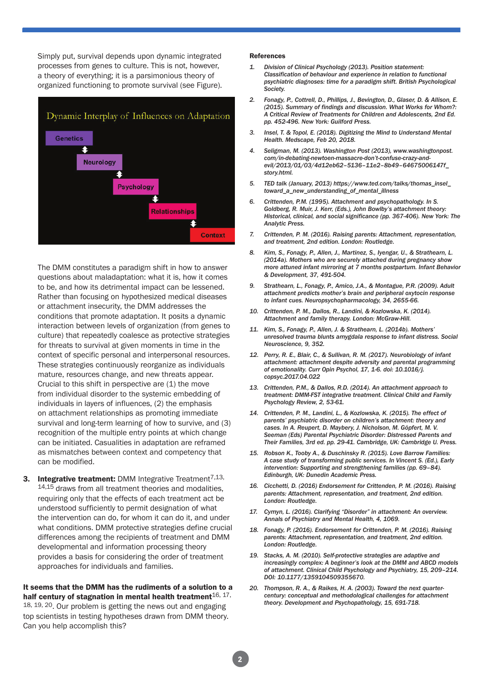Simply put, survival depends upon dynamic integrated processes from genes to culture. This is not, however, a theory of everything; it is a parsimonious theory of organized functioning to promote survival (see Figure).



The DMM constitutes a paradigm shift in how to answer questions about maladaptation: what it is, how it comes to be, and how its detrimental impact can be lessened. Rather than focusing on hypothesized medical diseases or attachment insecurity, the DMM addresses the conditions that promote adaptation. It posits a dynamic interaction between levels of organization (from genes to culture) that repeatedly coalesce as protective strategies for threats to survival at given moments in time in the context of specific personal and interpersonal resources. These strategies continuously reorganize as individuals mature, resources change, and new threats appear. Crucial to this shift in perspective are (1) the move from individual disorder to the systemic embedding of individuals in layers of influences, (2) the emphasis on attachment relationships as promoting immediate survival and long-term learning of how to survive, and (3) recognition of the multiple entry points at which change can be initiated. Casualities in adaptation are reframed as mismatches between context and competency that can be modified.

**3.** Integrative treatment: DMM Integrative Treatment<sup>7,13,</sup> 14,15 draws from all treatment theories and modalities, requiring only that the effects of each treatment act be understood sufficiently to permit designation of what the intervention can do, for whom it can do it, and under what conditions. DMM protective strategies define crucial differences among the recipients of treatment and DMM developmental and information processing theory provides a basis for considering the order of treatment approaches for individuals and families.

It seems that the DMM has the rudiments of a solution to a half century of stagnation in mental health treatment $16, 17$ , 18, 19, 20. Our problem is getting the news out and engaging top scientists in testing hypotheses drawn from DMM theory. Can you help accomplish this?

#### References

- *1. Division of Clinical Psychology (2013). Position statement: Classification of behaviour and experience in relation to functional psychiatric diagnoses: time for a paradigm shift. British Psychological Society.*
- *2. Fonagy, P., Cottrell, D., Phillips, J., Bevington, D., Glaser, D. & Allison, E. (2015). Summary of findings and discussion. What Works for Whom?: A Critical Review of Treatments for Children and Adolescents, 2nd Ed. pp. 452-496. New York: Guilford Press.*
- *3. Insel, T. & Topol, E. (2018). Digitizing the Mind to Understand Mental Health. Medscape, Feb 20, 2018.*
- *4. Seligman, M. (2013). Washington Post (2013), www.washingtonpost. com/in-debating-newtoen-massacre-don't-confuse-crazy-andevil/2013/01/03/4d12eb62–5136–11e2–8b49–64675006147f\_ story.html.*
- *5. TED talk (January, 2013) https://www.ted.com/talks/thomas\_insel\_ toward\_a\_new\_understanding\_of\_mental\_illness*
- *6. Crittenden, P.M. (1995). Attachment and psychopathology. In S. Goldberg, R. Muir, J. Kerr, (Eds.), John Bowlby's attachment theory: Historical, clinical, and social significance (pp. 367-406). New York: The Analytic Press.*
- *7. Crittenden, P. M. (2016). Raising parents: Attachment, representation, and treatment, 2nd edition. London: Routledge.*
- *8. Kim, S., Fonagy, P., Allen, J., Martinez, S., Iyengar, U., & Strathearn, L. (2014a). Mothers who are securely attached during pregnancy show more attuned infant mirroring at 7 months postpartum. Infant Behavior & Development, 37, 491-504.*
- *9. Strathearn, L., Fonagy, P., Amico, J.A., & Montague, P.R. (2009). Adult attachment predicts mother's brain and peripheral oxytocin response to infant cues. Neuropsychopharmacology, 34, 2655-66.*
- *10. Crittenden, P. M., Dallos, R., Landini, & Kozlowska, K. (2014). Attachment and family therapy. London: McGraw-Hill.*
- *11. Kim, S., Fonagy, P., Allen, J. & Strathearn, L. (2014b). Mothers' unresolved trauma blunts amygdala response to infant distress. Social Neuroscience, 9, 352.*
- *12. Perry, R. E., Blair, C., & Sullivan, R. M. (2017). Neurobiology of infant attachment: attachment despite adversity and parental programming of emotionality. Curr Opin Psychol, 17, 1-6. doi: 10.1016/j. copsyc.2017.04.022*
- *13. Crittenden, P.M., & Dallos, R.D. (2014). An attachment approach to treatment: DMM-FST integrative treatment. Clinical Child and Family Psychology Review, 2, 53-61.*
- *14. Crittenden, P. M., Landini, L., & Kozlowska, K. (2015). The effect of parents' psychiatric disorder on children's attachment: theory and cases. In A. Reupert, D. Maybery, J. Nicholson, M. Göpfert, M. V. Seeman (Eds) Parental Psychiatric Disorder: Distressed Parents and Their Families, 3rd ed. pp. 29-41. Cambridge, UK: Cambridge U. Press.*
- *15. Robson K., Tooby A., & Duschinsky R. (2015). Love Barrow Families: A case study of transforming public services. In Vincent S. (Ed.), Early intervention: Supporting and strengthening families (pp. 69–84). Edinburgh, UK: Dunedin Academic Press.*
- *16. Cicchetti, D. (2016) Endorsement for Crittenden, P. M. (2016). Raising parents: Attachment, representation, and treatment, 2nd edition. London: Routledge.*
- *17. Cymyn, L. (2016). Clarifying "Disorder" in attachment: An overview. Annals of Psychiatry and Mental Health, 4, 1069.*
- *18. Fonagy, P. (2016). Endorsement for Crittenden, P. M. (2016). Raising parents: Attachment, representation, and treatment, 2nd edition. London: Routledge.*
- *19. Stacks, A. M. (2010). Self-protective strategies are adaptive and increasingly complex: A beginner's look at the DMM and ABCD models of attachment. Clinical Child Psychology and Psychiatry, 15, 209–214. DOI: 10.1177/1359104509355670.*
- *20. Thompson, R. A., & Raikes, H. A. (2003). Toward the next quartercentury: conceptual and methodological challenges for attachment theory. Development and Psychopathology, 15, 691-718.*